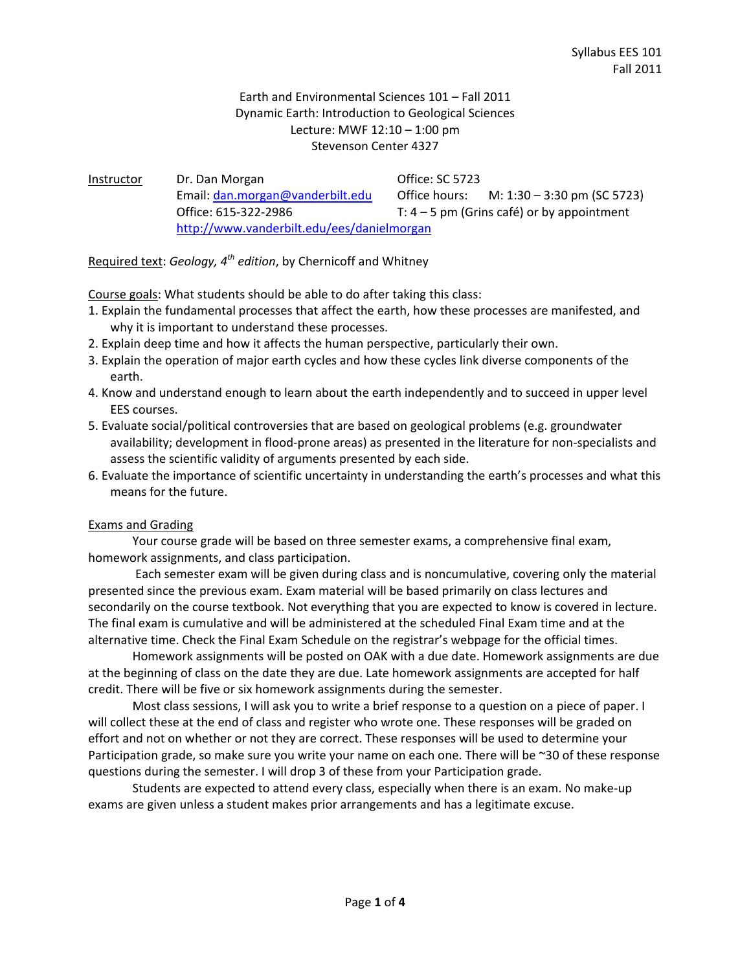# Earth and Environmental Sciences 101 – Fall 2011 Dynamic Earth: Introduction to Geological Sciences Lecture: MWF 12:10 – 1:00 pm Stevenson Center 4327

| Instructor | Dr. Dan Morgan                             | <b>Office: SC 5723</b> |                                            |
|------------|--------------------------------------------|------------------------|--------------------------------------------|
|            | Email: dan.morgan@vanderbilt.edu           | Office hours:          | M: 1:30 – 3:30 pm (SC 5723)                |
|            | Office: 615-322-2986                       |                        | T: $4-5$ pm (Grins café) or by appointment |
|            | http://www.vanderbilt.edu/ees/danielmorgan |                        |                                            |

Required text: *Geology, 4th edition*, by Chernicoff and Whitney

Course goals: What students should be able to do after taking this class:

- 1. Explain the fundamental processes that affect the earth, how these processes are manifested, and why it is important to understand these processes.
- 2. Explain deep time and how it affects the human perspective, particularly their own.
- 3. Explain the operation of major earth cycles and how these cycles link diverse components of the earth.
- 4. Know and understand enough to learn about the earth independently and to succeed in upper level EES courses.
- 5. Evaluate social/political controversies that are based on geological problems (e.g. groundwater availability; development in flood‐prone areas) as presented in the literature for non‐specialists and assess the scientific validity of arguments presented by each side.
- 6. Evaluate the importance of scientific uncertainty in understanding the earth's processes and what this means for the future.

### Exams and Grading

Your course grade will be based on three semester exams, a comprehensive final exam, homework assignments, and class participation.

 Each semester exam will be given during class and is noncumulative, covering only the material presented since the previous exam. Exam material will be based primarily on class lectures and secondarily on the course textbook. Not everything that you are expected to know is covered in lecture. The final exam is cumulative and will be administered at the scheduled Final Exam time and at the alternative time. Check the Final Exam Schedule on the registrar's webpage for the official times.

Homework assignments will be posted on OAK with a due date. Homework assignments are due at the beginning of class on the date they are due. Late homework assignments are accepted for half credit. There will be five or six homework assignments during the semester.

Most class sessions, I will ask you to write a brief response to a question on a piece of paper. I will collect these at the end of class and register who wrote one. These responses will be graded on effort and not on whether or not they are correct. These responses will be used to determine your Participation grade, so make sure you write your name on each one. There will be ~30 of these response questions during the semester. I will drop 3 of these from your Participation grade.

Students are expected to attend every class, especially when there is an exam. No make‐up exams are given unless a student makes prior arrangements and has a legitimate excuse.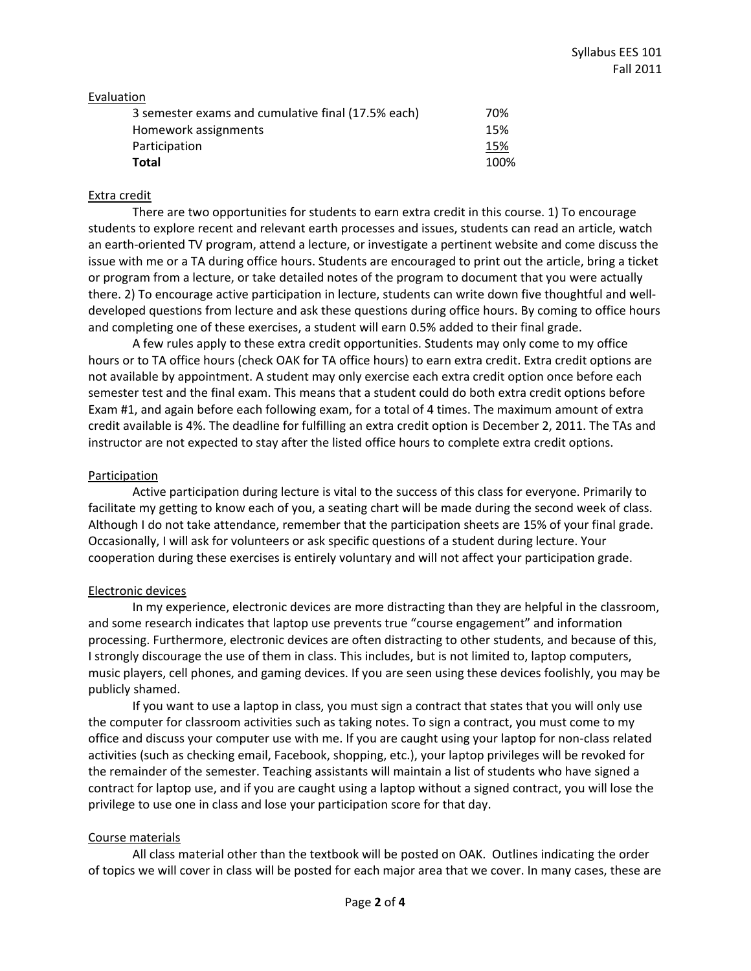#### Evaluation

| 3 semester exams and cumulative final (17.5% each) | 70%  |
|----------------------------------------------------|------|
| Homework assignments                               | 15%  |
| Participation                                      | 15%  |
| <b>Total</b>                                       | 100% |

#### Extra credit

There are two opportunities for students to earn extra credit in this course. 1) To encourage students to explore recent and relevant earth processes and issues, students can read an article, watch an earth‐oriented TV program, attend a lecture, or investigate a pertinent website and come discuss the issue with me or a TA during office hours. Students are encouraged to print out the article, bring a ticket or program from a lecture, or take detailed notes of the program to document that you were actually there. 2) To encourage active participation in lecture, students can write down five thoughtful and well‐ developed questions from lecture and ask these questions during office hours. By coming to office hours and completing one of these exercises, a student will earn 0.5% added to their final grade.

A few rules apply to these extra credit opportunities. Students may only come to my office hours or to TA office hours (check OAK for TA office hours) to earn extra credit. Extra credit options are not available by appointment. A student may only exercise each extra credit option once before each semester test and the final exam. This means that a student could do both extra credit options before Exam #1, and again before each following exam, for a total of 4 times. The maximum amount of extra credit available is 4%. The deadline for fulfilling an extra credit option is December 2, 2011. The TAs and instructor are not expected to stay after the listed office hours to complete extra credit options.

#### Participation

Active participation during lecture is vital to the success of this class for everyone. Primarily to facilitate my getting to know each of you, a seating chart will be made during the second week of class. Although I do not take attendance, remember that the participation sheets are 15% of your final grade. Occasionally, I will ask for volunteers or ask specific questions of a student during lecture. Your cooperation during these exercises is entirely voluntary and will not affect your participation grade.

### Electronic devices

In my experience, electronic devices are more distracting than they are helpful in the classroom, and some research indicates that laptop use prevents true "course engagement" and information processing. Furthermore, electronic devices are often distracting to other students, and because of this, I strongly discourage the use of them in class. This includes, but is not limited to, laptop computers, music players, cell phones, and gaming devices. If you are seen using these devices foolishly, you may be publicly shamed.

If you want to use a laptop in class, you must sign a contract that states that you will only use the computer for classroom activities such as taking notes. To sign a contract, you must come to my office and discuss your computer use with me. If you are caught using your laptop for non‐class related activities (such as checking email, Facebook, shopping, etc.), your laptop privileges will be revoked for the remainder of the semester. Teaching assistants will maintain a list of students who have signed a contract for laptop use, and if you are caught using a laptop without a signed contract, you will lose the privilege to use one in class and lose your participation score for that day.

### Course materials

All class material other than the textbook will be posted on OAK. Outlines indicating the order of topics we will cover in class will be posted for each major area that we cover. In many cases, these are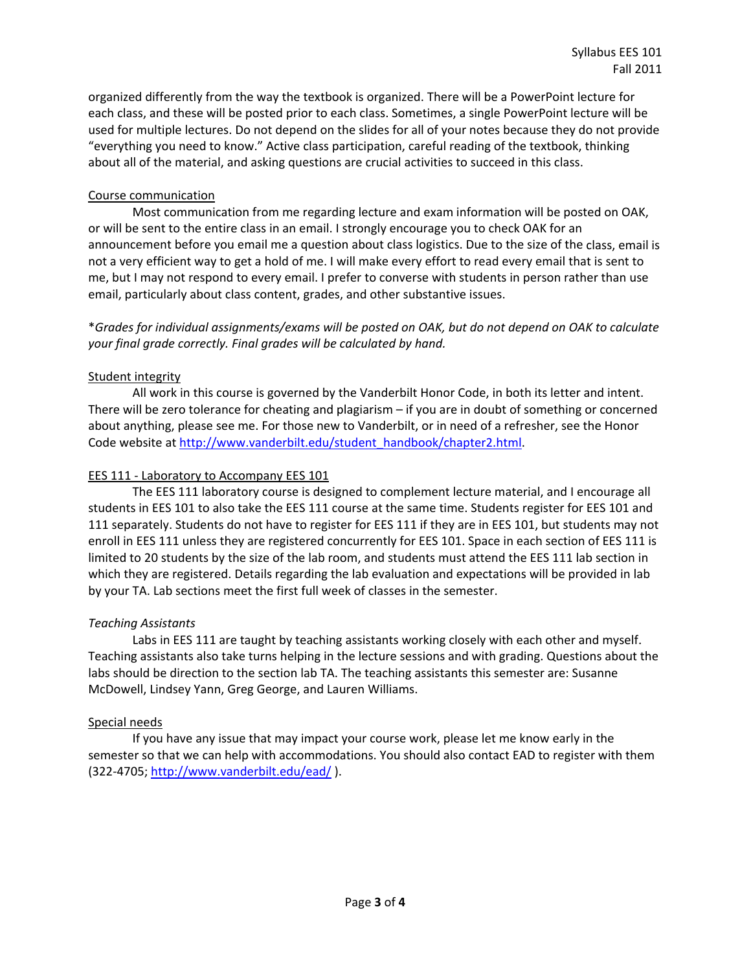organized differently from the way the textbook is organized. There will be a PowerPoint lecture for each class, and these will be posted prior to each class. Sometimes, a single PowerPoint lecture will be used for multiple lectures. Do not depend on the slides for all of your notes because they do not provide "everything you need to know." Active class participation, careful reading of the textbook, thinking about all of the material, and asking questions are crucial activities to succeed in this class.

## Course communication

Most communication from me regarding lecture and exam information will be posted on OAK, or will be sent to the entire class in an email. I strongly encourage you to check OAK for an announcement before you email me a question about class logistics. Due to the size of the class, email is not a very efficient way to get a hold of me. I will make every effort to read every email that is sent to me, but I may not respond to every email. I prefer to converse with students in person rather than use email, particularly about class content, grades, and other substantive issues.

\**Grades for individual assignments/exams will be posted on OAK, but do not depend on OAK to calculate your final grade correctly. Final grades will be calculated by hand.*

# Student integrity

All work in this course is governed by the Vanderbilt Honor Code, in both its letter and intent. There will be zero tolerance for cheating and plagiarism – if you are in doubt of something or concerned about anything, please see me. For those new to Vanderbilt, or in need of a refresher, see the Honor Code website at http://www.vanderbilt.edu/student\_handbook/chapter2.html.

# EES 111 ‐ Laboratory to Accompany EES 101

The EES 111 laboratory course is designed to complement lecture material, and I encourage all students in EES 101 to also take the EES 111 course at the same time. Students register for EES 101 and 111 separately. Students do not have to register for EES 111 if they are in EES 101, but students may not enroll in EES 111 unless they are registered concurrently for EES 101. Space in each section of EES 111 is limited to 20 students by the size of the lab room, and students must attend the EES 111 lab section in which they are registered. Details regarding the lab evaluation and expectations will be provided in lab by your TA. Lab sections meet the first full week of classes in the semester.

# *Teaching Assistants*

Labs in EES 111 are taught by teaching assistants working closely with each other and myself. Teaching assistants also take turns helping in the lecture sessions and with grading. Questions about the labs should be direction to the section lab TA. The teaching assistants this semester are: Susanne McDowell, Lindsey Yann, Greg George, and Lauren Williams.

### Special needs

If you have any issue that may impact your course work, please let me know early in the semester so that we can help with accommodations. You should also contact EAD to register with them (322‐4705; http://www.vanderbilt.edu/ead/ ).